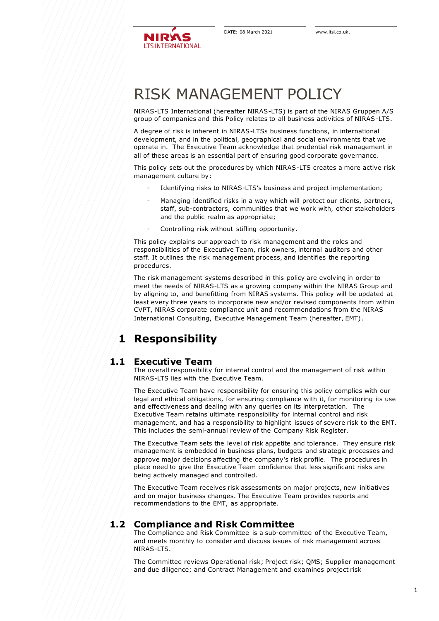# RISK MANAGEMENT POLICY

NIRAS-LTS International (hereafter NIRAS-LTS) is part of the NIRAS Gruppen A/S group of companies and this Policy relates to all business activities of NIRAS-LTS.

A degree of risk is inherent in NIRAS-LTSs business functions, in international development, and in the political, geographical and social environments that we operate in. The Executive Team acknowledge that prudential risk management in all of these areas is an essential part of ensuring good corporate governance.

This policy sets out the procedures by which NIRAS-LTS creates a more active risk management culture by:

- Identifying risks to NIRAS-LTS's business and project implementation;
- Managing identified risks in a way which will protect our clients, partners, staff, sub-contractors, communities that we work with, other stakeholders and the public realm as appropriate;
- Controlling risk without stifling opportunity.

This policy explains our approach to risk management and the roles and responsibilities of the Executive Team, risk owners, internal auditors and other staff. It outlines the risk management process, and identifies the reporting procedures.

The risk management systems described in this policy are evolving in order to meet the needs of NIRAS-LTS as a growing company within the NIRAS Group and by aligning to, and benefitting from NIRAS systems. This policy will be updated at least every three years to incorporate new and/or revised components from within CVPT, NIRAS corporate compliance unit and recommendations from the NIRAS International Consulting, Executive Management Team (hereafter, EMT).

# **1 Responsibility**

### **1.1 Executive Team**

The overall responsibility for internal control and the management of risk within NIRAS-LTS lies with the Executive Team.

The Executive Team have responsibility for ensuring this policy complies with our legal and ethical obligations, for ensuring compliance with it, for monitoring its use and effectiveness and dealing with any queries on its interpretation. The Executive Team retains ultimate responsibility for internal control and risk management, and has a responsibility to highlight issues of severe risk to the EMT. This includes the semi-annual review of the Company Risk Register.

The Executive Team sets the level of risk appetite and tolerance. They ensure risk management is embedded in business plans, budgets and strategic processes and approve major decisions affecting the company's risk profile. The procedures in place need to give the Executive Team confidence that less significant risks are being actively managed and controlled.

The Executive Team receives risk assessments on major projects, new initiatives and on major business changes. The Executive Team provides reports and recommendations to the EMT, as appropriate.

### **1.2 Compliance and Risk Committee**

The Compliance and Risk Committee is a sub-committee of the Executive Team, and meets monthly to consider and discuss issues of risk management across NIRAS-LTS.

The Committee reviews Operational risk; Project risk; QMS; Supplier management and due diligence; and Contract Management and examines project risk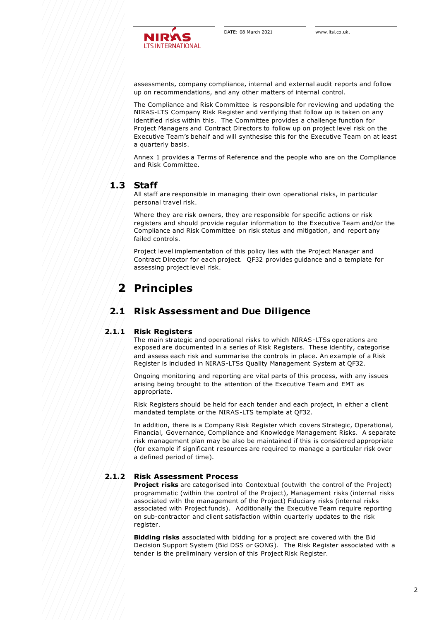

assessments, company compliance, internal and external audit reports and follow up on recommendations, and any other matters of internal control.

The Compliance and Risk Committee is responsible for reviewing and updating the NIRAS-LTS Company Risk Register and verifying that follow up is taken on any identified risks within this. The Committee provides a challenge function for Project Managers and Contract Directors to follow up on project level risk on the Executive Team's behalf and will synthesise this for the Executive Team on at least a quarterly basis.

Annex 1 provides a Terms of Reference and the people who are on the Compliance and Risk Committee.

#### **1.3 Staff**

All staff are responsible in managing their own operational risks, in particular personal travel risk.

Where they are risk owners, they are responsible for specific actions or risk registers and should provide regular information to the Executive Team and/or the Compliance and Risk Committee on risk status and mitigation, and report any failed controls.

Project level implementation of this policy lies with the Project Manager and Contract Director for each project. QF32 provides guidance and a template for assessing project level risk.

# **2 Principles**

### **2.1 Risk Assessment and Due Diligence**

#### **2.1.1 Risk Registers**

The main strategic and operational risks to which NIRAS-LTSs operations are exposed are documented in a series of Risk Registers. These identify, categorise and assess each risk and summarise the controls in place. An example of a Risk Register is included in NIRAS-LTSs Quality Management System at QF32.

Ongoing monitoring and reporting are vital parts of this process, with any issues arising being brought to the attention of the Executive Team and EMT as appropriate.

Risk Registers should be held for each tender and each project, in either a client mandated template or the NIRAS-LTS template at QF32.

In addition, there is a Company Risk Register which covers Strategic, Operational, Financial, Governance, Compliance and Knowledge Management Risks. A separate risk management plan may be also be maintained if this is considered appropriate (for example if significant resources are required to manage a particular risk over a defined period of time).

#### **2.1.2 Risk Assessment Process**

**Project risks** are categorised into Contextual (outwith the control of the Project) programmatic (within the control of the Project), Management risks (internal risks associated with the management of the Project) Fiduciary risks (internal risks associated with Project funds). Additionally the Executive Team require reporting on sub-contractor and client satisfaction within quarterly updates to the risk register.

**Bidding risks** associated with bidding for a project are covered with the Bid Decision Support System (Bid DSS or GONG). The Risk Register associated with a tender is the preliminary version of this Project Risk Register.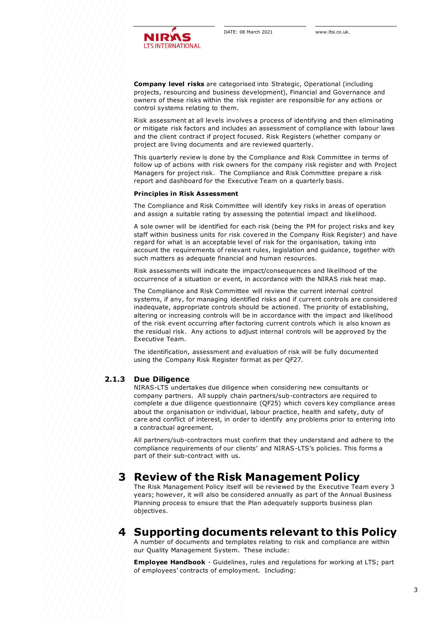

**Company level risks** are categorised into Strategic, Operational (including projects, resourcing and business development), Financial and Governance and owners of these risks within the risk register are responsible for any actions or control systems relating to them.

Risk assessment at all levels involves a process of identifying and then eliminating or mitigate risk factors and includes an assessment of compliance with labour laws and the client contract if project focused. Risk Registers (whether company or project are living documents and are reviewed quarterly.

This quarterly review is done by the Compliance and Risk Committee in terms of follow up of actions with risk owners for the company risk register and with Project Managers for project risk. The Compliance and Risk Committee prepare a risk report and dashboard for the Executive Team on a quarterly basis.

#### **Principles in Risk Assessment**

The Compliance and Risk Committee will identify key risks in areas of operation and assign a suitable rating by assessing the potential impact and likelihood.

A sole owner will be identified for each risk (being the PM for project risks and key staff within business units for risk covered in the Company Risk Register) and have regard for what is an acceptable level of risk for the organisation, taking into account the requirements of relevant rules, legislation and guidance, together with such matters as adequate financial and human resources.

Risk assessments will indicate the impact/consequences and likelihood of the occurrence of a situation or event, in accordance with the NIRAS risk heat map.

The Compliance and Risk Committee will review the current internal control systems, if any, for managing identified risks and if current controls are considered inadequate, appropriate controls should be actioned. The priority of establishing, altering or increasing controls will be in accordance with the impact and likelihood of the risk event occurring after factoring current controls which is also known as the residual risk. Any actions to adjust internal controls will be approved by the Executive Team.

The identification, assessment and evaluation of risk will be fully documented using the Company Risk Register format as per QF27.

#### **2.1.3 Due Diligence**

NIRAS-LTS undertakes due diligence when considering new consultants or company partners. All supply chain partners/sub-contractors are required to complete a due diligence questionnaire (QF25) which covers key compliance areas about the organisation or individual, labour practice, health and safety, duty of care and conflict of interest, in order to identify any problems prior to entering into a contractual agreement.

All partners/sub-contractors must confirm that they understand and adhere to the compliance requirements of our clients' and NIRAS-LTS's policies. This forms a part of their sub-contract with us.

# **3 Review of the Risk Management Policy**

The Risk Management Policy itself will be reviewed by the Executive Team every 3 years; however, it will also be considered annually as part of the Annual Business Planning process to ensure that the Plan adequately supports business plan objectives.

# **4 Supporting documents relevant to this Policy**

A number of documents and templates relating to risk and compliance are within our Quality Management System. These include:

**Employee Handbook** - Guidelines, rules and regulations for working at LTS; part of employees' contracts of employment. Including: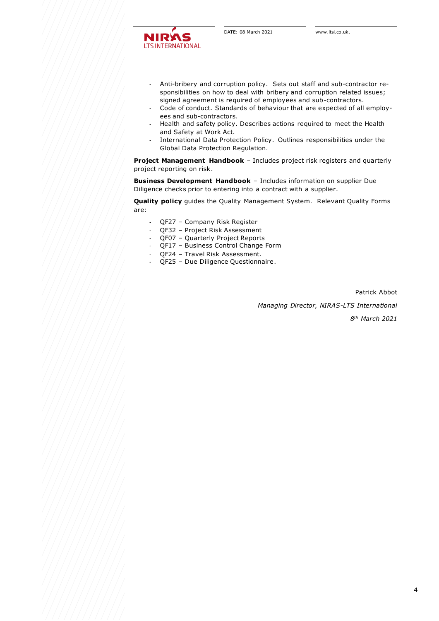

- Anti-bribery and corruption policy. Sets out staff and sub-contractor responsibilities on how to deal with bribery and corruption related issues; signed agreement is required of employees and sub-contractors.
- Code of conduct. Standards of behaviour that are expected of all employees and sub-contractors.
- Health and safety policy. Describes actions required to meet the Health and Safety at Work Act.
- International Data Protection Policy. Outlines responsibilities under the Global Data Protection Regulation.

**Project Management Handbook** – Includes project risk registers and quarterly project reporting on risk.

**Business Development Handbook** – Includes information on supplier Due Diligence checks prior to entering into a contract with a supplier.

**Quality policy** guides the Quality Management System. Relevant Quality Forms are:

- QF27 Company Risk Register
- QF32 Project Risk Assessment
- QF07 Quarterly Project Reports
- QF17 Business Control Change Form
- QF24 Travel Risk Assessment.
- QF25 Due Diligence Questionnaire.

Patrick Abbot

*Managing Director, NIRAS-LTS International*

*8 th March 2021*